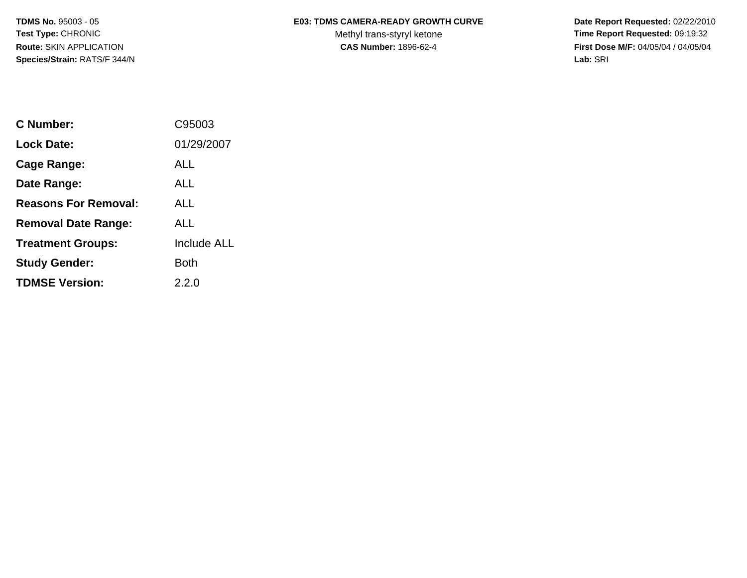**Species/Strain:** RATS/F 344/N **Lab:** SRI

## **TDMS No.** 95003 - 05 **E03: TDMS CAMERA-READY GROWTH CURVE** Date Report Requested: 02/22/2010

Test Type: CHRONIC **Test Type: CHRONIC** CHRONIC CHRONIC Methyl trans-styryl ketone **Time Report Requested:** 09:19:32 **Route:** SKIN APPLICATION **CAS Number:** 1896-62-4 **First Dose M/F:** 04/05/04 / 04/05/04

| C Number:                   | C95003      |
|-----------------------------|-------------|
| Lock Date:                  | 01/29/2007  |
| Cage Range:                 | ALL         |
| Date Range:                 | ALL         |
| <b>Reasons For Removal:</b> | <b>ALL</b>  |
| <b>Removal Date Range:</b>  | ALL         |
| <b>Treatment Groups:</b>    | Include ALL |
| <b>Study Gender:</b>        | Both        |
| <b>TDMSE Version:</b>       | 2.2.0       |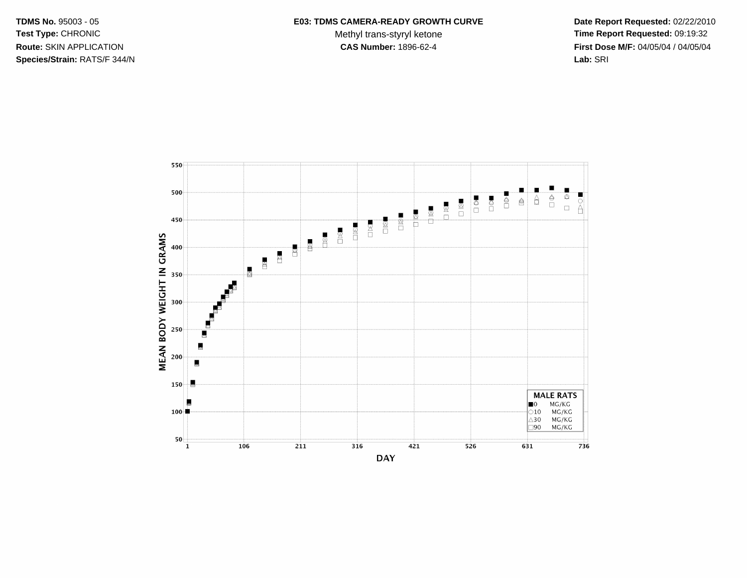TDMS No. 95003 - 05 Test Type: CHRONIC Route: SKIN APPLICATION Species/Strain: RATS/F 344/N

## E03: TDMS CAMERA-READY GROWTH CURVE

Methyl trans-styryl ketone CAS Number: 1896-62-4

Date Report Requested: 02/22/2010 Time Report Requested: 09:19:32 First Dose M/F: 04/05/04 / 04/05/04 Lab: SRI